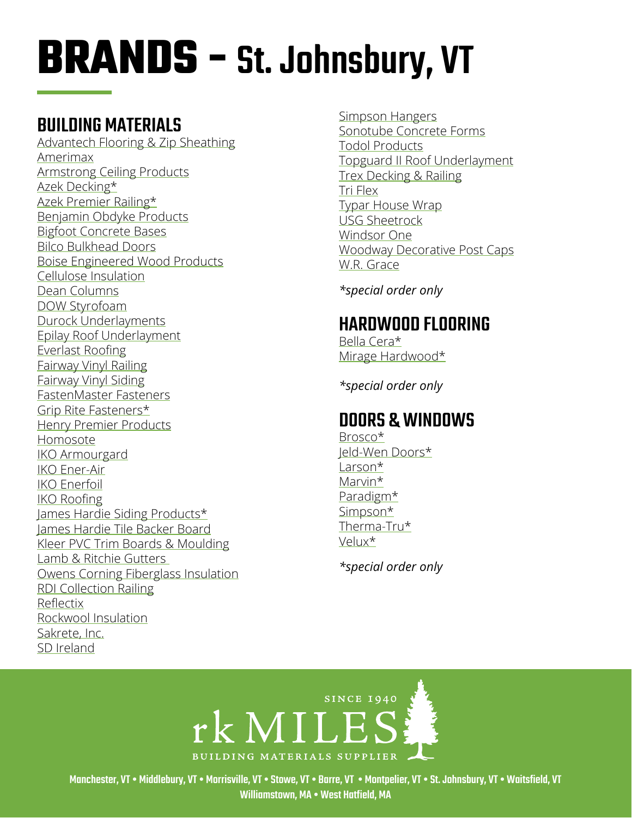## BUILDING MATERIALS

[Advantech Flooring & Zip Sheathing](https://www.huberwood.com/)  [Amerimax](https://www.amerimax.com/)  [Armstrong Ceiling Products](http://www.armstrongceilings.com/residential/en-us/) [Azek Decking](https://www.timbertech.com/azek-decking)\* [Azek Premier Railing](https://www.timbertech.com/azek-railing)\* [Benjamin Obdyke Products](http://www.benjaminobdyke.com/)  [Bigfoot Concrete Bases](http://www.bigfootsystems.com/) [Bilco Bulkhead Doors](https://www.bilco.com/) [Boise Engineered Wood Products](https://www.bc.com/ewp/) [Cellulose Insulation](https://www.greenfiber.com/) [Dean Columns](http://www.deancolumn.com/) [DOW Styrofoam](http://building.dow.com/na/en/products/insulation/rigidfoam.htm)  [Durock Underlayments](http://www.usg.com/durock-cement-board.html)  [Epilay Roof Underlayment](https://www.epilay.com/synthetic-roofing-underlayment/) [Everlast Roofing](https://everlastroofing.com/) [Fairway Vinyl Railing](https://www.fairwayrailing.com/products/product-types/vinyl-railing/)  [Fairway Vinyl Siding](https://www.fairwaywholesale.com/fairway) [FastenMaster Fasteners](https://www.fastenmaster.com/)  [Grip Rite Fasteners\\*](https://www.grip-rite.com/products/us-en-products/fasteners/) Henry Premier Products H[omosote](http://www.homasote.com/)  [IKO Armourgard](https://www.iko.com/na/residential-roofing-accessories/ice-water-protectors/armourgard/) [IKO Ener-Air](https://www.iko.com/comm/product/iko-ener-air/)  [IKO Enerfoil](https://www.iko.com/comm/product/iko-enerfoil-sheathing/) [IKO Roofing](http://www.iko.com/us/) [James Hardie Siding Products\\*](http://www.jameshardie.com/homeowner/siding.shtml)  [James Hardie Tile Backer Board](https://www.jameshardie.com/products/hardiebacker-cement-board) [Kleer PVC Trim Boards & Moulding](https://kleerlumber.com/) [Lamb & Ritchie Gutters](https://www.lambritchie.com/catalog01.shtml)  [Owens Corning Fiberglass Insulation](https://www.owenscorning.com/insulation) [RDI Collection Railing](https://www.barretteoutdoorliving.com/product/rdi-collection-titan-pro-rail-vinyl-railing-kit) [Reflectix](https://www.reflectixinc.com/) [Rockwool Insulation](https://www.rockwool.com/)  [Sakrete, Inc.](http://www.sakrete.com/) SD Ireland

[Simpson Hangers](http://www.strongtie.com/)  [Sonotube Concrete Forms](http://sonotube.com/products/sonotubeconcreteforms.aspx) [Todol Products](https://todol.com/) [Topguard II Roof Underlayment](http://www.rooftopguard.com/en/home.html) [Trex Decking & Railing](http://www.trex.com/) [Tri Flex](https://gcpat.com/en/solutions/products/tri-flex-synthetic-underlayment/tri-flex-xt-synthetic-underlayment)  [Typar House Wrap](http://www.typar.com/products/typar-buildingwrap/) [USG Sheetrock](https://www.usg.com/content/usgcom/en.html) [Windsor One](https://windsorone.com/) [Woodway](https://www.woodwayproducts.com/products/post-caps) Decorative Post Caps [W.R. Grace](http://www.grace.com/)

*\*special order only*

## HARDWOOD FLOORING

[Bella Cera\\*](http://www.bellacerafloors.com/hardwood-flooring/Casa-Mia-hardwood-flooring.aspx) Mirage Hardwood\*

*\*special order only*

## DOORS & WINDOWS

[Brosco\\*](http://www.brosco.com/) [Jeld-Wen](https://www.dupont.com/products/tyvek-homewrap-superior-house-wrap.html) Doors\* [Larson](https://www.larsondoors.com/)\* [Marvin](http://www.marvin.com/)\* [Paradigm\\*](http://www.paradigmwindows.com/) [Simpson](http://www.simpsondoor.com/)\* [Therma-Tru\\*](https://www.thermatru.com/) [Velux\\*](https://www.velux.com/)

*\*special order only*



Manchester, VT • Middlebury, VT • Morrisville, VT • Stowe, VT • Barre, VT • Montpelier, VT • St. Johnsbury, VT • Waitsfield, VT Williamstown, MA • West Hatfield, MA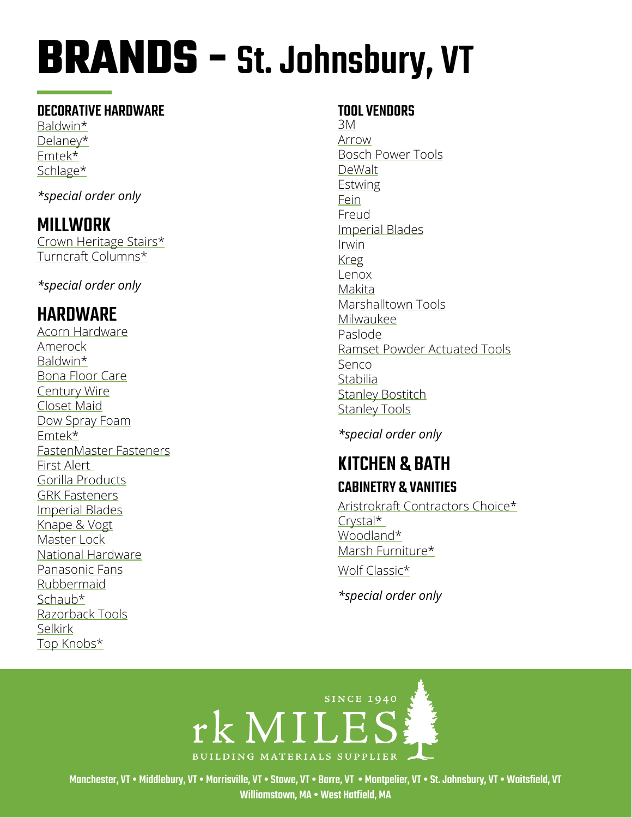#### DECORATIVE HARDWARE

[Baldwin](http://www.baldwinhardware.com/home.aspx)\* [Delaney](https://delaneyhardware.com/)\* [Emtek\\*](http://www.emtekproducts.com/) [Schlage](https://www.schlage.com/en/home.html)\*

*\*special order only*

## MILLWORK

[Crown Heritage Stairs\\*](http://crownheritage.com/Products) [Turncraft Columns\\*](https://turncraft.com/) 

*\*special order only*

## HARDWARE

[Acorn Hardware](http://www.acornmfg.com/) [Amerock](https://www.amerock.com/) [Baldwin\\*](https://www.baldwinhardware.com/) [Bona Floor Care](https://us.bona.com/bona-clean.html?healthy_home&gclid=EAIaIQobChMIpfftyOHn7wIVV8DICh2CgQZ1EAAYAiAAEgJNUPD_BwE) [Century Wire](https://www.centurywire.com/) [Closet Maid](https://closetmaid.com/webapp/wcs/stores/servlet/en/closetmaid-us) [Dow Spray Foam](https://www.dow.com/en-us/market/mkt-building-construction/sub-build-wall-systems-insulation-facade/app-build-wallinsulation-spray-foam.html) [Emtek\\*](https://emtek.com/) [FastenMaster Fasteners](https://www.fastenmaster.com/) [First Alert](https://www.firstalert.com/)  [Gorilla Products](https://www.gorillatough.com/) [GRK Fasteners](https://www.grkfasteners.com/)  [Imperial Blades](https://imperialblades.com/) [Knape & Vogt](https://www.knapeandvogt.com/) [Master Lock](https://www.masterlock.com/) [National Hardware](https://www.national-hardware.com/) [Panasonic Fans](https://na.panasonic.com/us/home-and-building-solutions/ventilation-indoor-air-quality/ventilation-fans) [Rubbermaid](https://www.rubbermaid.com/) [Schaub\\*](https://schaubandcompany.com/) [Razorback Tools](https://www.razor-back.com/) [Selkirk](http://www.selkirkcorp.com/) [Top Knobs\\*](https://www.topknobs.com/)

#### TOOL VENDORS

[3M](https://www.3m.com/) [Arrow](https://arrowfastener.com/) [Bosch Power Tools](http://www.boschtools.com/products/tools/Pages/BoschProductCategory.aspx) [DeWalt](https://www.dewalt.com/) [Estwing](https://www.estwing.com/) [Fein](https://fein.com/en_us/) [Freud](https://www.freudtools.com/) [Imperial Blades](http://www.imperialblades.com/) [Irwin](https://www.irwin.com/) [Kreg](https://www.kregtool.com/) [Lenox](https://www.lenoxtools.com/Pages/Home.aspx) [Makita](https://www.makitatools.com/) [Marshalltown Tools](https://marshalltown.com/) [Milwaukee](https://www.milwaukeetool.com/) [Paslode](https://www.paslode.com/) [Ramset](https://www.ramset.com/) Powder Actuated Tools [Senco](https://www.senco.com/default.aspx) [Stabilia](http://www.stabila.com/) [Stanley Bostitch](https://www.bostitch.com/) [Stanley Tools](https://www.stanleytools.com/)

*\*special order only*

### KITCHEN & BATH CABINETRY & VANITIES

[Aristrokraft Contractors Choice\\*](https://www.aristokraft.com/) [Crystal\\*](https://crystalcabinets.com/portfolio/)  [Woodland\\*](https://woodlandcabinetry.com/) [Marsh Furniture\\*](https://www.marshfurniture.com/) [Wolf](https://www.wolfhomeproducts.com/kitchencabinetry) Classic\*

*\*special order only*



Manchester, VT • Middlebury, VT • Morrisville, VT • Stowe, VT • Barre, VT • Montpelier, VT • St. Johnsbury, VT • Waitsfield, VT Williamstown, MA • West Hatfield, MA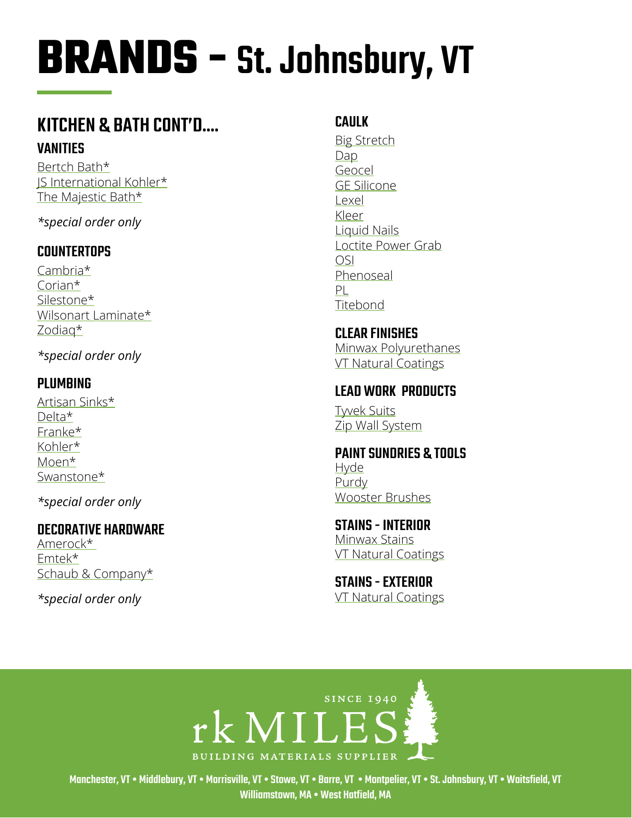## **KITCHEN & BATH CONT'D.... VANITIES**

Bertch Bath\* IS International Kohler\* The Majestic Bath\*

\*special order only

#### **COUNTERTOPS**

 $Cambra*$ Corian $*$ Silestone\* Wilsonart Laminate\* Zodiag\*

\*special order only

### **PLUMBING**

Artisan Sinks\* Delta\* Franke\* Kohler\* Moen\* Swanstone\*

\*special order only

#### **DECORATIVE HARDWARE**

Amerock\* Emtek\* Schaub & Company\*

\*special order only

### **CAULK**

**Big Stretch** Dap Geocel **GE Silicone** Lexel Kleer Liquid Nails Loctite Power Grab **OSI** Phenoseal PL Titebond

**CLEAR FINISHES** Minwax Polyurethanes **VT Natural Coatings** 

#### **LEAD WORK PRODUCTS**

**Twek Suits** Zip Wall System

**PAINT SUNDRIES & TOOLS Hyde** Purdy **Wooster Brushes** 

**STAINS - INTERIOR Minwax Stains VT Natural Coatings** 

**STAINS - EXTERIOR VT Natural Coatings** 



Manchester. VT . Middlebury. VT . Morrisville. VT . Stowe. VT . Barre. VT . Montoelier. VT . St. Johnsbury. VT . Waitsfield. VT Williamstown, MA . West Hatfield, MA